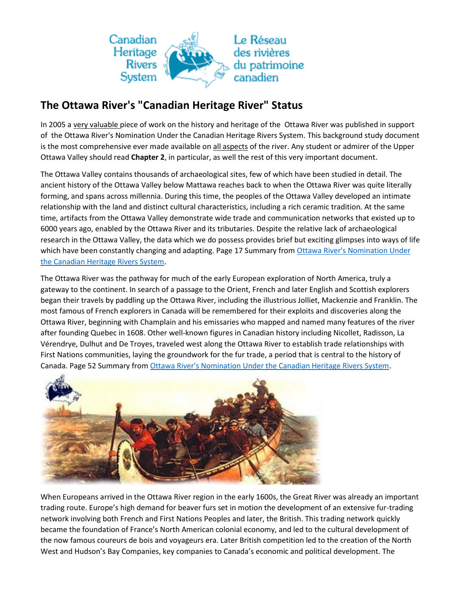

## **The Ottawa River's "Canadian Heritage River" Status**

In 2005 a very valuable piece of work on the history and heritage of the Ottawa River was published in support of the Ottawa River's Nomination Under the Canadian Heritage Rivers System. This background study document is the most comprehensive ever made available on all aspects of the river. Any student or admirer of the Upper Ottawa Valley should read **Chapter 2**, in particular, as well the rest of this very important document.

The Ottawa Valley contains thousands of archaeological sites, few of which have been studied in detail. The ancient history of the Ottawa Valley below Mattawa reaches back to when the Ottawa River was quite literally forming, and spans across millennia. During this time, the peoples of the Ottawa Valley developed an intimate relationship with the land and distinct cultural characteristics, including a rich ceramic tradition. At the same time, artifacts from the Ottawa Valley demonstrate wide trade and communication networks that existed up to 6000 years ago, enabled by the Ottawa River and its tributaries. Despite the relative lack of archaeological research in the Ottawa Valley, the data which we do possess provides brief but exciting glimpses into ways of life which have been constantly changing and adapting. Page 17 Summary from Ottawa River's Nomination Under [the Canadian Heritage Rivers System.](http://www.ottawariver.org/pdf/0-ORHDC.pdf)

The Ottawa River was the pathway for much of the early European exploration of North America, truly a gateway to the continent. In search of a passage to the Orient, French and later English and Scottish explorers began their travels by paddling up the Ottawa River, including the illustrious Jolliet, Mackenzie and Franklin. The most famous of French explorers in Canada will be remembered for their exploits and discoveries along the Ottawa River, beginning with Champlain and his emissaries who mapped and named many features of the river after founding Quebec in 1608. Other well-known figures in Canadian history including Nicollet, Radisson, La Vérendrye, Dulhut and De Troyes, traveled west along the Ottawa River to establish trade relationships with First Nations communities, laying the groundwork for the fur trade, a period that is central to the history of Canada. Page 52 Summary from [Ottawa River's Nomination Under the Canadian Heritage Rivers System.](http://www.ottawariver.org/pdf/0-ORHDC.pdf)



When Europeans arrived in the Ottawa River region in the early 1600s, the Great River was already an important trading route. Europe's high demand for beaver furs set in motion the development of an extensive fur-trading network involving both French and First Nations Peoples and later, the British. This trading network quickly became the foundation of France's North American colonial economy, and led to the cultural development of the now famous coureurs de bois and voyageurs era. Later British competition led to the creation of the North West and Hudson's Bay Companies, key companies to Canada's economic and political development. The